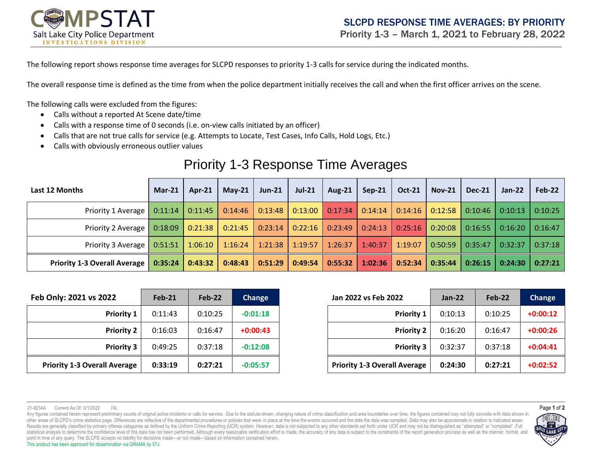

The following report shows response time averages for SLCPD responses to priority 1-3 calls for service during the indicated months.

The overall response time is defined as the time from when the police department initially receives the call and when the first officer arrives on the scene.

The following calls were excluded from the figures:

- Calls without a reported At Scene date/time
- Calls with a response time of 0 seconds (i.e. on-view calls initiated by an officer)
- Calls that are not true calls for service (e.g. Attempts to Locate, Test Cases, Info Calls, Hold Logs, Etc.)
- Calls with obviously erroneous outlier values

## Priority 1-3 Response Time Averages

| Last 12 Months                                                                                                                             | $Mar-21$ | $Ar-21$ | May-21 $\vert$ | <b>Jun-21</b>                 | <b>Jul-21</b> | Aug-21 $\vert$ | $Sep-21$                      | <b>Oct-21</b> | $Nov-21$ | <b>Dec-21</b>           | Jan-22            | Feb-22 |
|--------------------------------------------------------------------------------------------------------------------------------------------|----------|---------|----------------|-------------------------------|---------------|----------------|-------------------------------|---------------|----------|-------------------------|-------------------|--------|
| Priority 1 Average   0:11:14   0:11:45   0:14:46   0:13:48   0:13:00   0:17:34   0:14:14   0:14:16   0:12:58   0:10:46   0:10:13   0:10:25 |          |         |                |                               |               |                |                               |               |          |                         |                   |        |
| Priority 2 Average   0:18:09   0:21:38   0:21:45   0:23:14   0:22:16   0:23:49   0:24:13   0:25:16   0:20:08                               |          |         |                |                               |               |                |                               |               |          | $\vert$ 0:16:55 $\vert$ | $0:16:20$ 0:16:47 |        |
| Priority 3 Average   0:51:51   1:06:10   1:16:24   1:21:38   1:19:57   1:26:37   1:40:37                                                   |          |         |                |                               |               |                |                               | 1:19:07       | 0:50:59  | $\vert$ 0:35:47         | $0:32:37$ 0:37:18 |        |
| Priority 1-3 Overall Average   0:35:24                                                                                                     |          | 0:43:32 |                | $0.48:43$   0:51:29   0:49:54 |               |                | $0:55:32$   1:02:36   0:52:34 |               |          | $0:35:44$ 0:26:15       | $0:24:30$ 0:27:21 |        |

| Feb Only: 2021 vs 2022              | <b>Feb-21</b> | Feb-22  | <b>Change</b> | Jan 2022 vs Feb 2022 |                                     | $Jan-22$ | Feb-22  | <b>Change</b> |
|-------------------------------------|---------------|---------|---------------|----------------------|-------------------------------------|----------|---------|---------------|
| <b>Priority 1</b>                   | 0:11:43       | 0:10:25 | $-0:01:18$    |                      | <b>Priority 1</b>                   | 0:10:13  | 0:10:25 | $+0:00:12$    |
| <b>Priority 2</b>                   | 0:16:03       | 0:16:47 | $+0:00:43$    |                      | <b>Priority 2</b>                   | 0:16:20  | 0:16:47 | $+0:00:26$    |
| <b>Priority 3</b>                   | 0:49:25       | 0:37:18 | $-0:12:08$    |                      | <b>Priority 3</b>                   | 0:32:37  | 0:37:18 | $+0:04:41$    |
| <b>Priority 1-3 Overall Average</b> | 0:33:19       | 0:27:21 | $-0:05:57$    |                      | <b>Priority 1-3 Overall Average</b> | 0:24:30  | 0:27:21 | $+0:02:52$    |

| 122               | $Feb-21$ | $Feb-22$ | Change     | Jan 2022 vs Feb 2022                | $Jan-22$ | Feb-22  | Change     |
|-------------------|----------|----------|------------|-------------------------------------|----------|---------|------------|
| <b>Priority 1</b> | 0:11:43  | 0:10:25  | $-0:01:18$ | <b>Priority 1</b>                   | 0:10:13  | 0:10:25 | $+0:00:12$ |
| <b>Priority 2</b> | 0:16:03  | 0:16:47  | $+0:00:43$ | <b>Priority 2</b>                   | 0:16:20  | 0:16:47 | $+0:00:26$ |
| <b>Priority 3</b> | 0:49:25  | 0:37:18  | $-0:12:08$ | <b>Priority 3</b>                   | 0:32:37  | 0:37:18 | $+0:04:41$ |
| Average           | 0:33:19  | 0:27:21  | $-0:05:57$ | <b>Priority 1-3 Overall Average</b> | 0:24:30  | 0:27:21 | $+0:02:52$ |

Any figures contained herein represent preliminary counts of original police incidents or calls for service. Due to the statute-driven, changing nature of crime classification and area boundaries over time, the figures con other areas of SLCPD's crime statistics page. Differences are reflective of the departmental procedures or policies that were in place at the time the events occurred and the date the data was compiled. Data may also be ap Results are generally classified by primary offense categories as defined by the Uniform Crime Reporting (UCR) system. However, data is not subjected to any other standards set forth under UCR and may not be distinguished statistical analysis to determine the confidence level of this data has not been performed. Although every reasonable verification effort is made, the accuracy of any data is subject to the constraints of the report genera point in time of any query. The SLCPD accepts no liability for decisions made—or not made—based on information contained herein. This product has been approved for dissemination via GRAMA by 57J.



<sup>21-8234</sup>A Current As Of: 3/1/2022 74L Page **1** of **2**